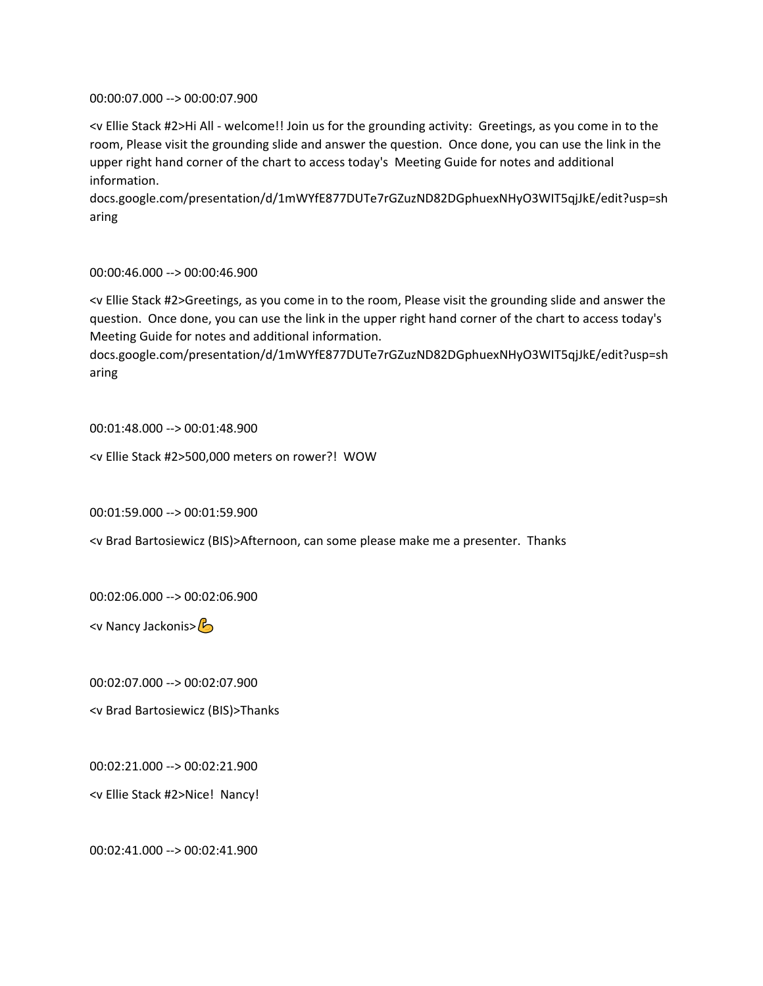00:00:07.000 --> 00:00:07.900

<v Ellie Stack #2>Hi All - welcome!! Join us for the grounding activity: Greetings, as you come in to the room, Please visit the grounding slide and answer the question. Once done, you can use the link in the upper right hand corner of the chart to access today's Meeting Guide for notes and additional information.

docs.google.com/presentation/d/1mWYfE877DUTe7rGZuzND82DGphuexNHyO3WIT5qjJkE/edit?usp=sh aring

00:00:46.000 --> 00:00:46.900

<v Ellie Stack #2>Greetings, as you come in to the room, Please visit the grounding slide and answer the question. Once done, you can use the link in the upper right hand corner of the chart to access today's Meeting Guide for notes and additional information.

docs.google.com/presentation/d/1mWYfE877DUTe7rGZuzND82DGphuexNHyO3WIT5qjJkE/edit?usp=sh aring

00:01:48.000 --> 00:01:48.900

<v Ellie Stack #2>500,000 meters on rower?! WOW

00:01:59.000 --> 00:01:59.900

<v Brad Bartosiewicz (BIS)>Afternoon, can some please make me a presenter. Thanks

00:02:06.000 --> 00:02:06.900

<v Nancy Jackonis>

00:02:07.000 --> 00:02:07.900

<v Brad Bartosiewicz (BIS)>Thanks

00:02:21.000 --> 00:02:21.900

<v Ellie Stack #2>Nice! Nancy!

00:02:41.000 --> 00:02:41.900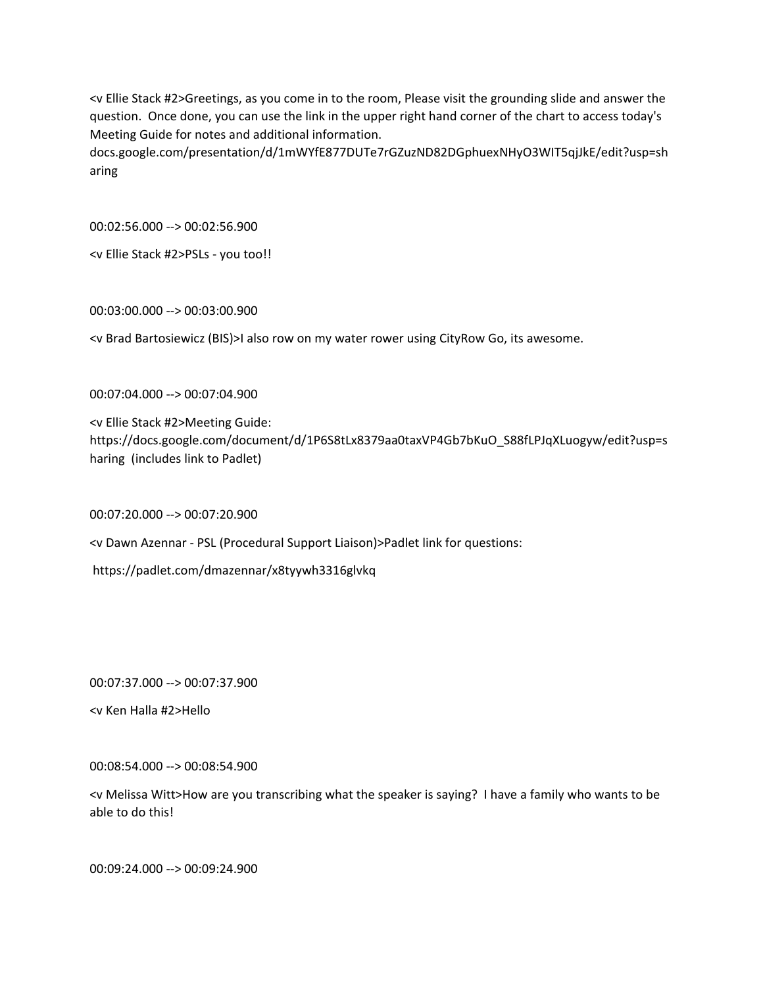<v Ellie Stack #2>Greetings, as you come in to the room, Please visit the grounding slide and answer the question. Once done, you can use the link in the upper right hand corner of the chart to access today's Meeting Guide for notes and additional information.

docs.google.com/presentation/d/1mWYfE877DUTe7rGZuzND82DGphuexNHyO3WIT5qjJkE/edit?usp=sh aring

00:02:56.000 --> 00:02:56.900

<v Ellie Stack #2>PSLs - you too!!

00:03:00.000 --> 00:03:00.900

<v Brad Bartosiewicz (BIS)>I also row on my water rower using CityRow Go, its awesome.

00:07:04.000 --> 00:07:04.900

<v Ellie Stack #2>Meeting Guide: https://docs.google.com/document/d/1P6S8tLx8379aa0taxVP4Gb7bKuO\_S88fLPJqXLuogyw/edit?usp=s haring (includes link to Padlet)

00:07:20.000 --> 00:07:20.900

<v Dawn Azennar - PSL (Procedural Support Liaison)>Padlet link for questions:

https://padlet.com/dmazennar/x8tyywh3316glvkq

00:07:37.000 --> 00:07:37.900

<v Ken Halla #2>Hello

00:08:54.000 --> 00:08:54.900

<v Melissa Witt>How are you transcribing what the speaker is saying? I have a family who wants to be able to do this!

00:09:24.000 --> 00:09:24.900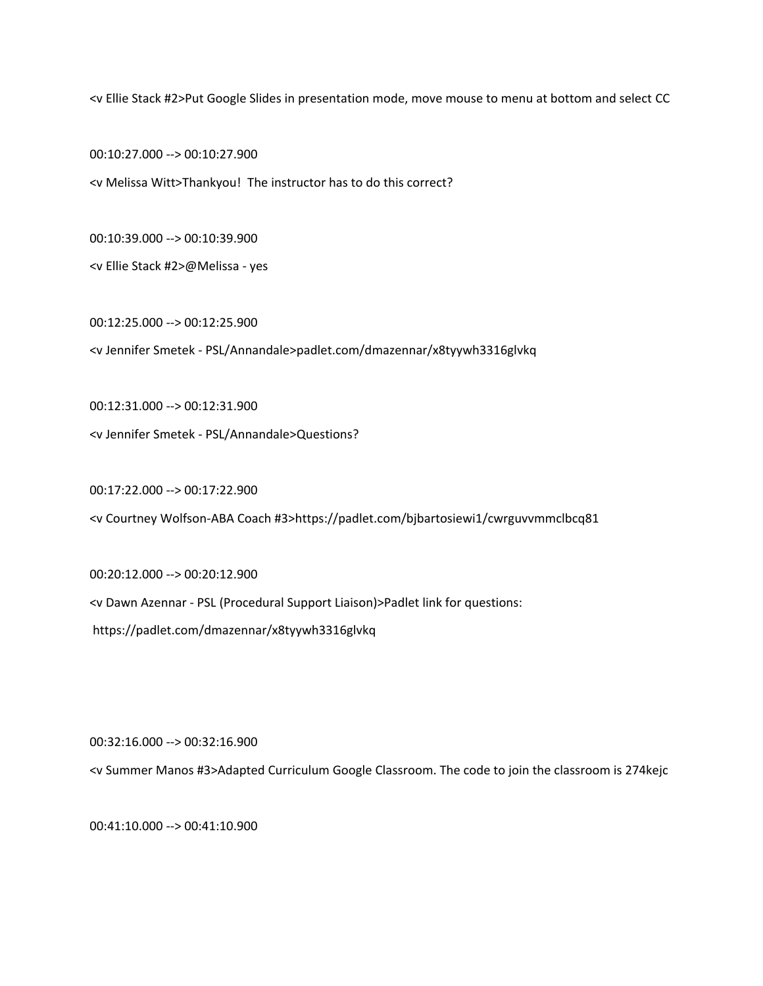<v Ellie Stack #2>Put Google Slides in presentation mode, move mouse to menu at bottom and select CC

00:10:27.000 --> 00:10:27.900

<v Melissa Witt>Thankyou! The instructor has to do this correct?

00:10:39.000 --> 00:10:39.900

<v Ellie Stack #2>@Melissa - yes

00:12:25.000 --> 00:12:25.900 <v Jennifer Smetek - PSL/Annandale>padlet.com/dmazennar/x8tyywh3316glvkq

00:12:31.000 --> 00:12:31.900

<v Jennifer Smetek - PSL/Annandale>Questions?

00:17:22.000 --> 00:17:22.900

<v Courtney Wolfson-ABA Coach #3>https://padlet.com/bjbartosiewi1/cwrguvvmmclbcq81

00:20:12.000 --> 00:20:12.900

<v Dawn Azennar - PSL (Procedural Support Liaison)>Padlet link for questions:

https://padlet.com/dmazennar/x8tyywh3316glvkq

00:32:16.000 --> 00:32:16.900

<v Summer Manos #3>Adapted Curriculum Google Classroom. The code to join the classroom is 274kejc

00:41:10.000 --> 00:41:10.900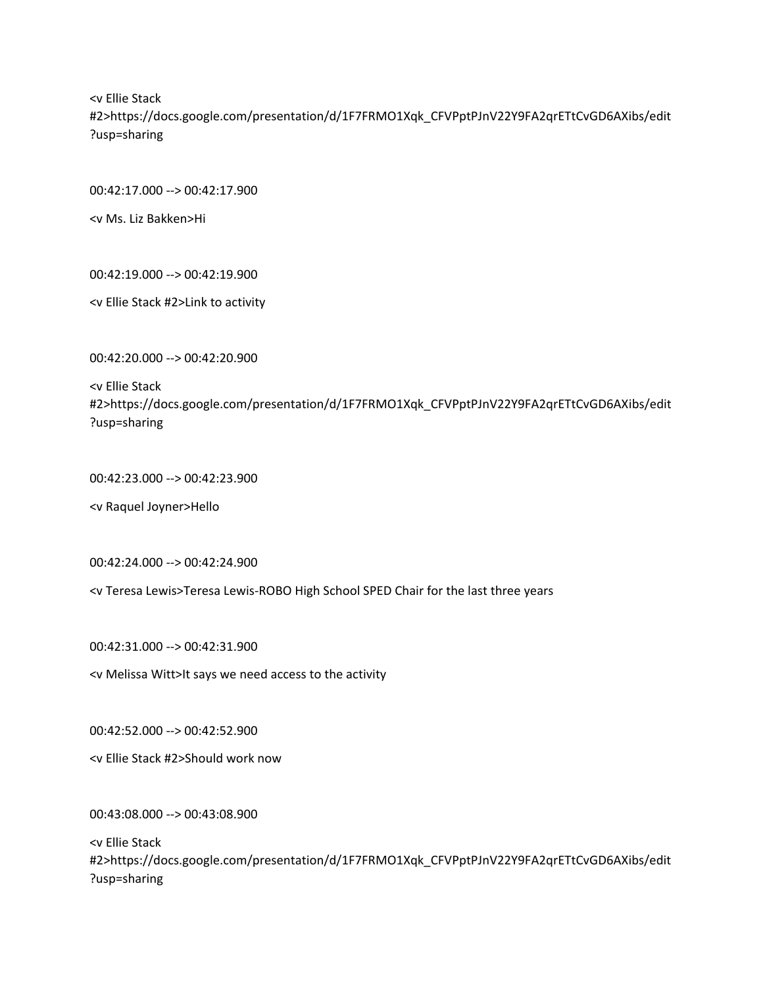<v Ellie Stack #2>https://docs.google.com/presentation/d/1F7FRMO1Xqk\_CFVPptPJnV22Y9FA2qrETtCvGD6AXibs/edit ?usp=sharing

00:42:17.000 --> 00:42:17.900

<v Ms. Liz Bakken>Hi

00:42:19.000 --> 00:42:19.900

<v Ellie Stack #2>Link to activity

00:42:20.000 --> 00:42:20.900

<v Ellie Stack #2>https://docs.google.com/presentation/d/1F7FRMO1Xqk\_CFVPptPJnV22Y9FA2qrETtCvGD6AXibs/edit ?usp=sharing

00:42:23.000 --> 00:42:23.900

<v Raquel Joyner>Hello

00:42:24.000 --> 00:42:24.900

<v Teresa Lewis>Teresa Lewis-ROBO High School SPED Chair for the last three years

00:42:31.000 --> 00:42:31.900

<v Melissa Witt>It says we need access to the activity

00:42:52.000 --> 00:42:52.900

<v Ellie Stack #2>Should work now

00:43:08.000 --> 00:43:08.900

<v Ellie Stack #2>https://docs.google.com/presentation/d/1F7FRMO1Xqk\_CFVPptPJnV22Y9FA2qrETtCvGD6AXibs/edit ?usp=sharing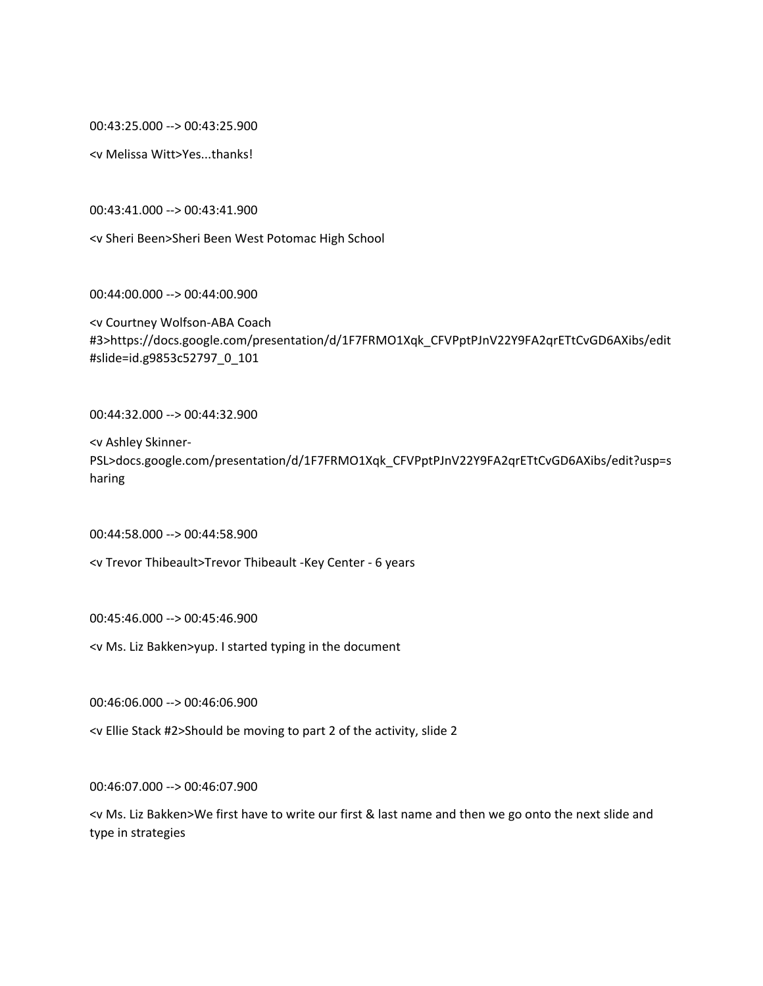00:43:25.000 --> 00:43:25.900

<v Melissa Witt>Yes...thanks!

00:43:41.000 --> 00:43:41.900

<v Sheri Been>Sheri Been West Potomac High School

00:44:00.000 --> 00:44:00.900

<v Courtney Wolfson-ABA Coach #3>https://docs.google.com/presentation/d/1F7FRMO1Xqk\_CFVPptPJnV22Y9FA2qrETtCvGD6AXibs/edit #slide=id.g9853c52797\_0\_101

00:44:32.000 --> 00:44:32.900

<v Ashley Skinner-PSL>docs.google.com/presentation/d/1F7FRMO1Xqk\_CFVPptPJnV22Y9FA2qrETtCvGD6AXibs/edit?usp=s haring

00:44:58.000 --> 00:44:58.900

<v Trevor Thibeault>Trevor Thibeault -Key Center - 6 years

00:45:46.000 --> 00:45:46.900

<v Ms. Liz Bakken>yup. I started typing in the document

00:46:06.000 --> 00:46:06.900

<v Ellie Stack #2>Should be moving to part 2 of the activity, slide 2

00:46:07.000 --> 00:46:07.900

<v Ms. Liz Bakken>We first have to write our first & last name and then we go onto the next slide and type in strategies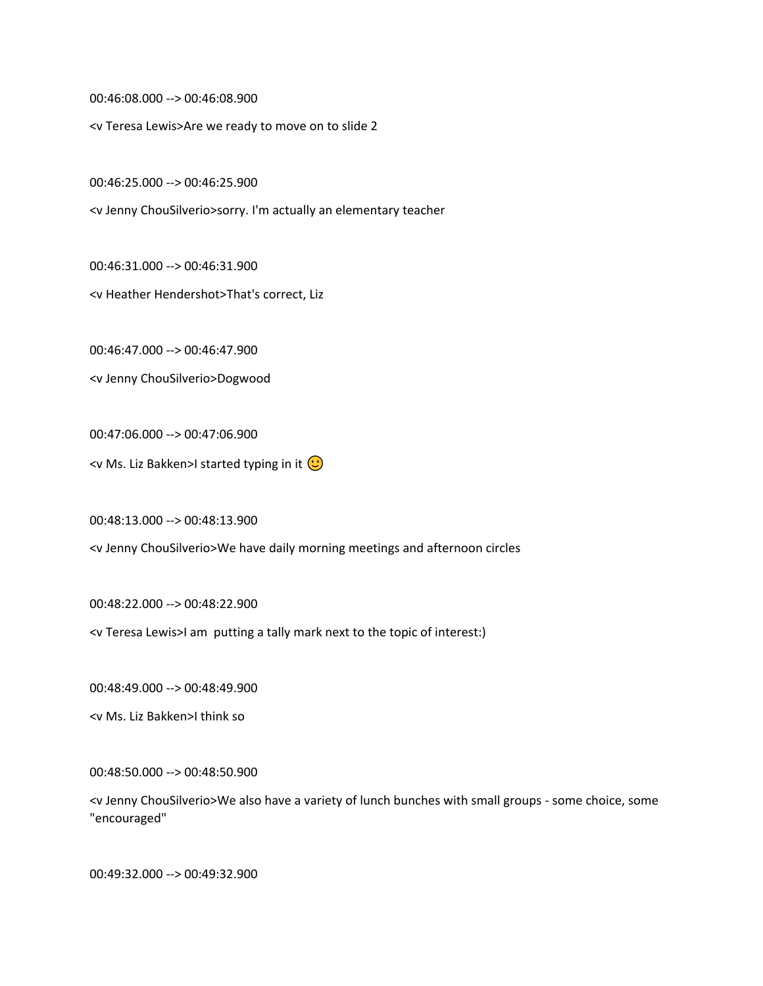00:46:08.000 --> 00:46:08.900

<v Teresa Lewis>Are we ready to move on to slide 2

00:46:25.000 --> 00:46:25.900

<v Jenny ChouSilverio>sorry. I'm actually an elementary teacher

00:46:31.000 --> 00:46:31.900

<v Heather Hendershot>That's correct, Liz

00:46:47.000 --> 00:46:47.900

<v Jenny ChouSilverio>Dogwood

00:47:06.000 --> 00:47:06.900

<v Ms. Liz Bakken>I started typing in it  $\bigcirc$ 

00:48:13.000 --> 00:48:13.900

<v Jenny ChouSilverio>We have daily morning meetings and afternoon circles

00:48:22.000 --> 00:48:22.900

<v Teresa Lewis>I am putting a tally mark next to the topic of interest:)

00:48:49.000 --> 00:48:49.900

<v Ms. Liz Bakken>I think so

00:48:50.000 --> 00:48:50.900

<v Jenny ChouSilverio>We also have a variety of lunch bunches with small groups - some choice, some "encouraged"

00:49:32.000 --> 00:49:32.900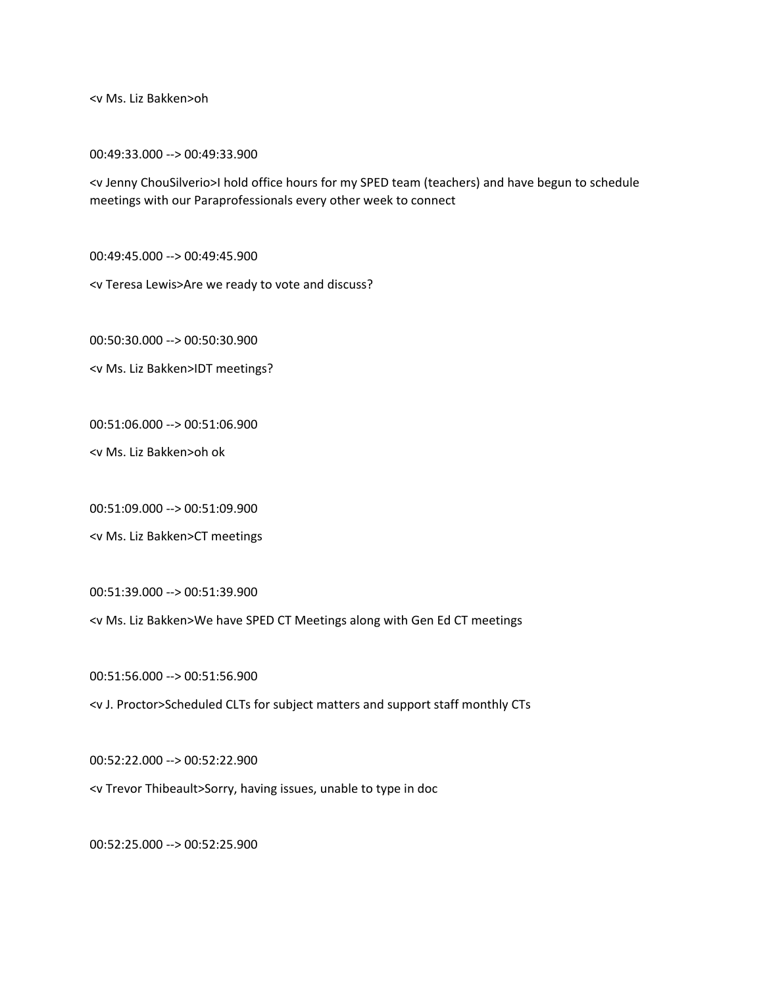<v Ms. Liz Bakken>oh

00:49:33.000 --> 00:49:33.900

<v Jenny ChouSilverio>I hold office hours for my SPED team (teachers) and have begun to schedule meetings with our Paraprofessionals every other week to connect

00:49:45.000 --> 00:49:45.900

<v Teresa Lewis>Are we ready to vote and discuss?

00:50:30.000 --> 00:50:30.900

<v Ms. Liz Bakken>IDT meetings?

00:51:06.000 --> 00:51:06.900

<v Ms. Liz Bakken>oh ok

00:51:09.000 --> 00:51:09.900

<v Ms. Liz Bakken>CT meetings

00:51:39.000 --> 00:51:39.900

<v Ms. Liz Bakken>We have SPED CT Meetings along with Gen Ed CT meetings

00:51:56.000 --> 00:51:56.900

<v J. Proctor>Scheduled CLTs for subject matters and support staff monthly CTs

00:52:22.000 --> 00:52:22.900

<v Trevor Thibeault>Sorry, having issues, unable to type in doc

00:52:25.000 --> 00:52:25.900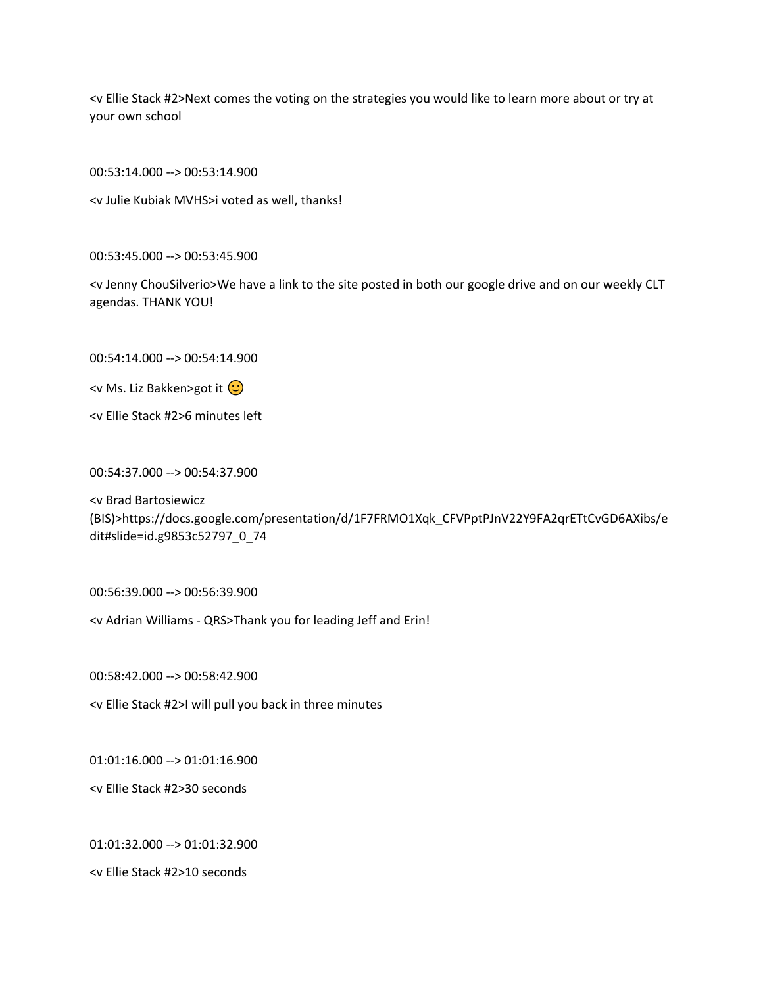<v Ellie Stack #2>Next comes the voting on the strategies you would like to learn more about or try at your own school

00:53:14.000 --> 00:53:14.900

<v Julie Kubiak MVHS>i voted as well, thanks!

00:53:45.000 --> 00:53:45.900

<v Jenny ChouSilverio>We have a link to the site posted in both our google drive and on our weekly CLT agendas. THANK YOU!

00:54:14.000 --> 00:54:14.900

<v Ms. Liz Bakken>got it  $\bigcirc$ 

<v Ellie Stack #2>6 minutes left

00:54:37.000 --> 00:54:37.900

<v Brad Bartosiewicz (BIS)>https://docs.google.com/presentation/d/1F7FRMO1Xqk\_CFVPptPJnV22Y9FA2qrETtCvGD6AXibs/e dit#slide=id.g9853c52797\_0\_74

00:56:39.000 --> 00:56:39.900

<v Adrian Williams - QRS>Thank you for leading Jeff and Erin!

00:58:42.000 --> 00:58:42.900

<v Ellie Stack #2>I will pull you back in three minutes

01:01:16.000 --> 01:01:16.900

<v Ellie Stack #2>30 seconds

01:01:32.000 --> 01:01:32.900

<v Ellie Stack #2>10 seconds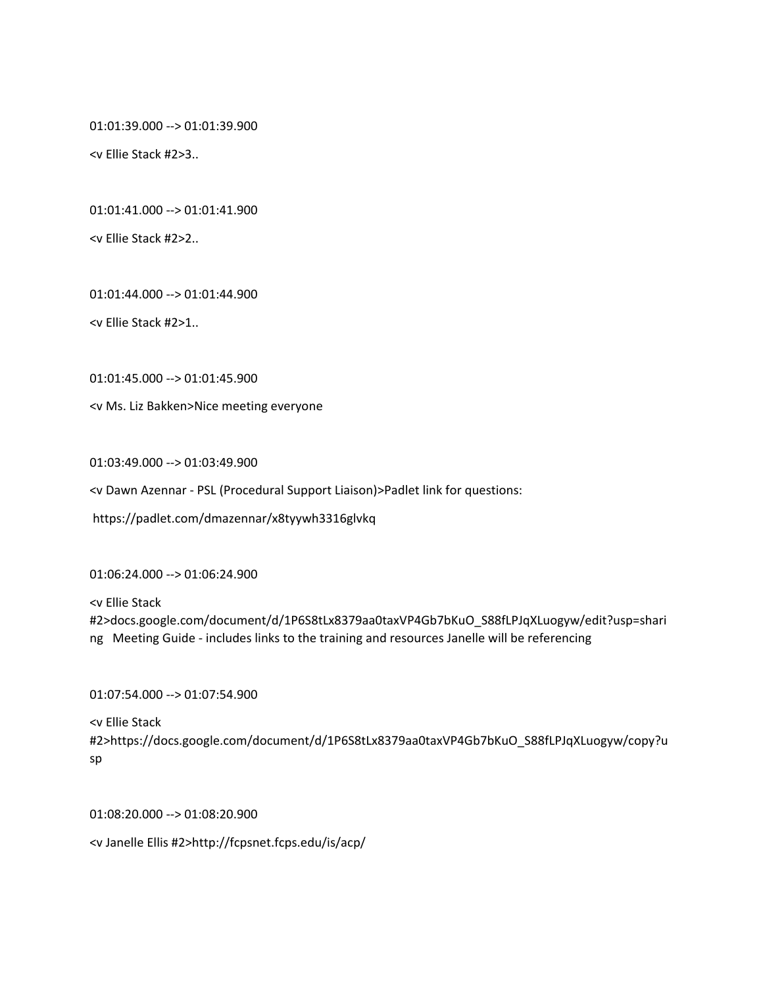01:01:39.000 --> 01:01:39.900

<v Ellie Stack #2>3..

01:01:41.000 --> 01:01:41.900

<v Ellie Stack #2>2..

01:01:44.000 --> 01:01:44.900

<v Ellie Stack #2>1..

01:01:45.000 --> 01:01:45.900

<v Ms. Liz Bakken>Nice meeting everyone

01:03:49.000 --> 01:03:49.900

<v Dawn Azennar - PSL (Procedural Support Liaison)>Padlet link for questions:

https://padlet.com/dmazennar/x8tyywh3316glvkq

01:06:24.000 --> 01:06:24.900

<v Ellie Stack #2>docs.google.com/document/d/1P6S8tLx8379aa0taxVP4Gb7bKuO\_S88fLPJqXLuogyw/edit?usp=shari ng Meeting Guide - includes links to the training and resources Janelle will be referencing

01:07:54.000 --> 01:07:54.900

<v Ellie Stack

#2>https://docs.google.com/document/d/1P6S8tLx8379aa0taxVP4Gb7bKuO\_S88fLPJqXLuogyw/copy?u sp

01:08:20.000 --> 01:08:20.900

<v Janelle Ellis #2>http://fcpsnet.fcps.edu/is/acp/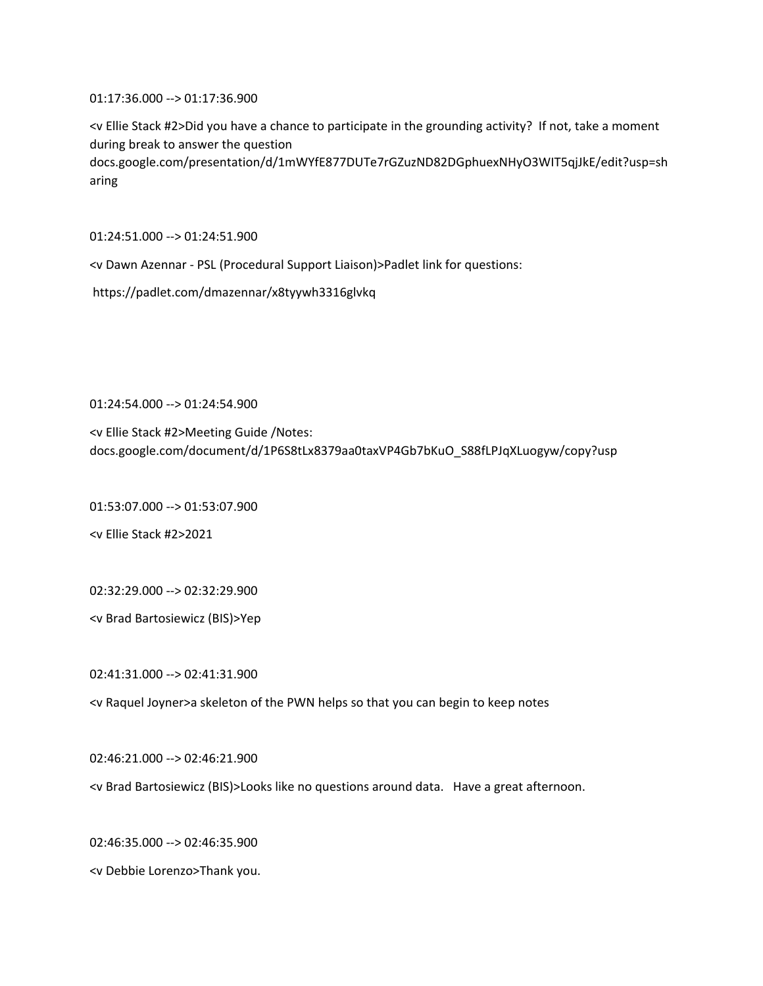01:17:36.000 --> 01:17:36.900

<v Ellie Stack #2>Did you have a chance to participate in the grounding activity? If not, take a moment during break to answer the question docs.google.com/presentation/d/1mWYfE877DUTe7rGZuzND82DGphuexNHyO3WIT5qjJkE/edit?usp=sh aring

01:24:51.000 --> 01:24:51.900

<v Dawn Azennar - PSL (Procedural Support Liaison)>Padlet link for questions:

https://padlet.com/dmazennar/x8tyywh3316glvkq

01:24:54.000 --> 01:24:54.900

<v Ellie Stack #2>Meeting Guide /Notes: docs.google.com/document/d/1P6S8tLx8379aa0taxVP4Gb7bKuO\_S88fLPJqXLuogyw/copy?usp

01:53:07.000 --> 01:53:07.900

<v Ellie Stack #2>2021

02:32:29.000 --> 02:32:29.900

<v Brad Bartosiewicz (BIS)>Yep

02:41:31.000 --> 02:41:31.900

<v Raquel Joyner>a skeleton of the PWN helps so that you can begin to keep notes

02:46:21.000 --> 02:46:21.900

<v Brad Bartosiewicz (BIS)>Looks like no questions around data. Have a great afternoon.

02:46:35.000 --> 02:46:35.900

<v Debbie Lorenzo>Thank you.